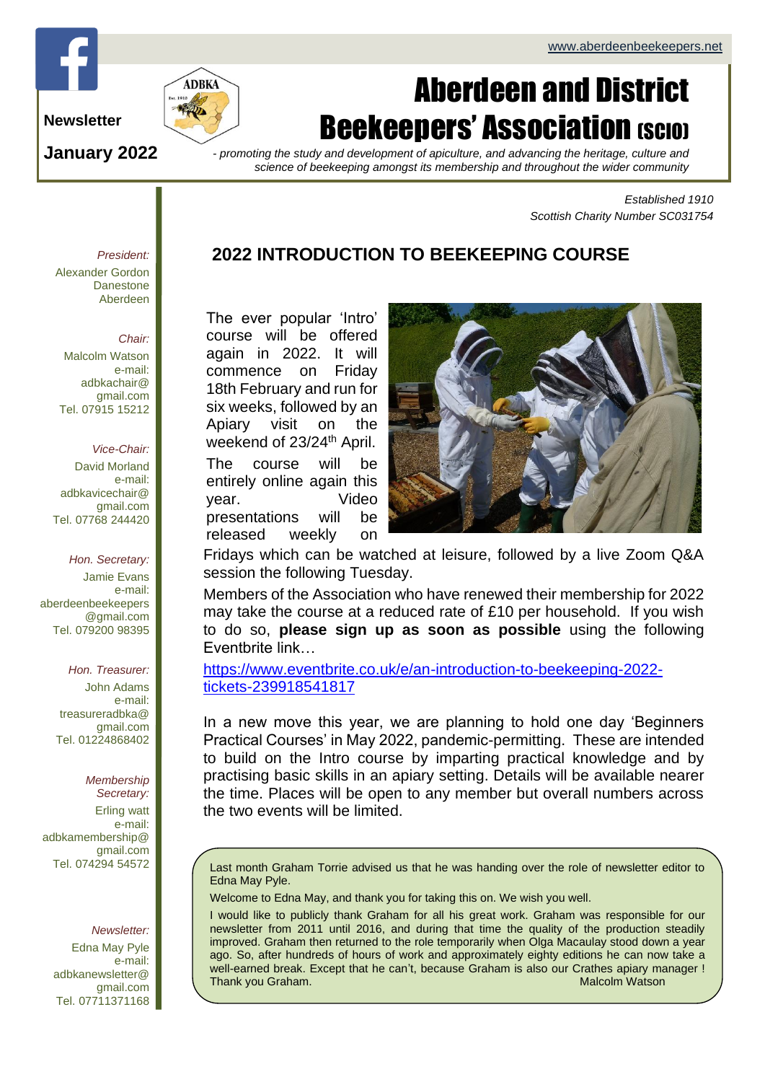# Page 1 of 4 ADBKa newsletter and the second second second second second second second second second second second

## Aberdeen and District **Beekeepers' Association (SCIO)**

**Newsletter**

**January 2022**

*- promoting the study and development of apiculture, and advancing the heritage, culture and science of beekeeping amongst its membership and throughout the wider community*

> *Established 1910 Scottish Charity Number SC031754*

### **2022 INTRODUCTION TO BEEKEEPING COURSE**

The ever popular 'Intro' course will be offered again in 2022. It will commence on Friday 18th February and run for six weeks, followed by an Apiary visit on the weekend of 23/24<sup>th</sup> April. The course will be entirely online again this

year. Video presentations will be released weekly on



Fridays which can be watched at leisure, followed by a live Zoom Q&A session the following Tuesday.

Members of the Association who have renewed their membership for 2022 may take the course at a reduced rate of £10 per household. If you wish to do so, **please sign up as soon as possible** using the following Eventbrite link…

[https://www.eventbrite.co.uk/e/an-introduction-to-beekeeping-2022](https://www.eventbrite.co.uk/e/an-introduction-to-beekeeping-2022-tickets-239918541817) [tickets-239918541817](https://www.eventbrite.co.uk/e/an-introduction-to-beekeeping-2022-tickets-239918541817)

In a new move this year, we are planning to hold one day 'Beginners Practical Courses' in May 2022, pandemic-permitting. These are intended to build on the Intro course by imparting practical knowledge and by practising basic skills in an apiary setting. Details will be available nearer the time. Places will be open to any member but overall numbers across the two events will be limited.

Last month Graham Torrie advised us that he was handing over the role of newsletter editor to Edna May Pyle.

Welcome to Edna May, and thank you for taking this on. We wish you well.

I would like to publicly thank Graham for all his great work. Graham was responsible for our newsletter from 2011 until 2016, and during that time the quality of the production steadily improved. Graham then returned to the role temporarily when Olga Macaulay stood down a year ago. So, after hundreds of hours of work and approximately eighty editions he can now take a well-earned break. Except that he can't, because Graham is also our Crathes apiary manager ! Thank you Graham. Malcolm Watson

#### *President:* Alexander Gordon **Danestone** Aberdeen

#### *Chair:*

Malcolm Watson e-mail: adbkachair@ gmail.com Tel. 07915 15212

#### *Vice-Chair:*

David Morland e-mail: adbkavicechair@ gmail.com Tel. 07768 244420

#### *Hon. Secretary:*

Jamie Evans e-mail: [aberdeenbeekeepers](mailto:aberdeenbeekeepers@gmail.com) [@gmail.com](mailto:aberdeenbeekeepers@gmail.com) Tel. 079200 98395

#### *Hon. Treasurer:*

John Adams e-mail: treasureradbka@ gmail.com Tel. 01224868402

#### *Membership*

*Secretary:*  Erling watt e-mail: adbkamembership@ gmail.com Tel. 074294 54572

#### *Newsletter:*

Edna May Pyle e-mail: adbkanewsletter@ gmail.com Tel. 07711371168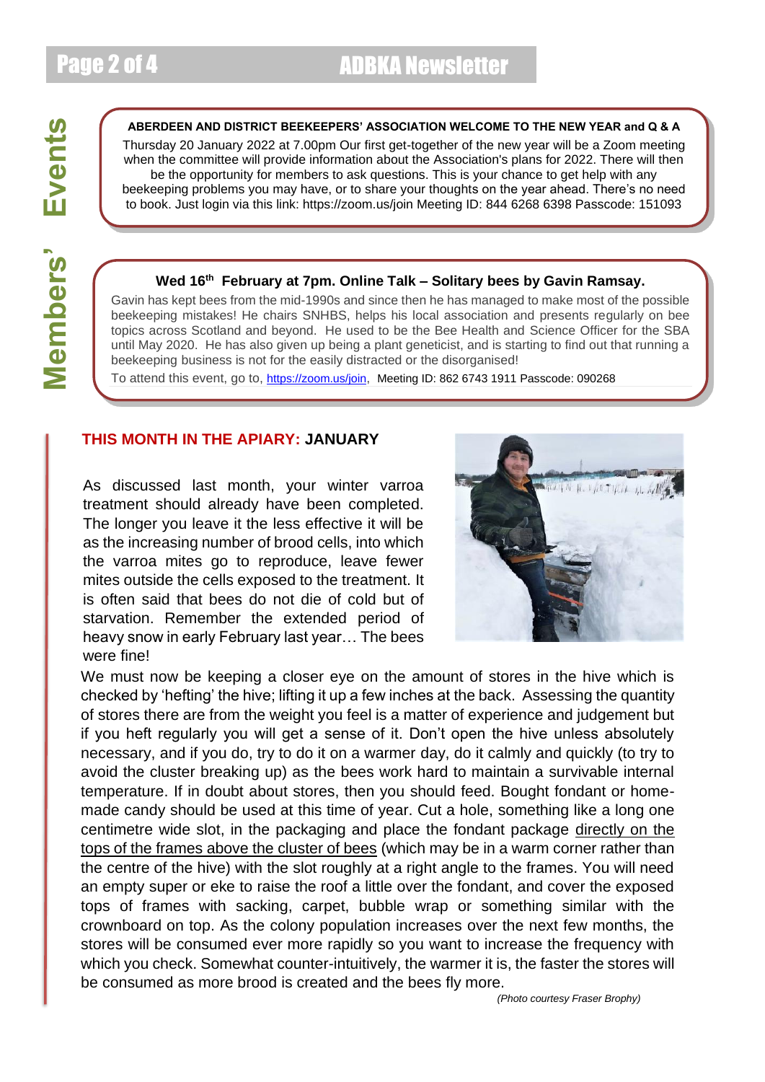#### **ABERDEEN AND DISTRICT BEEKEEPERS' ASSOCIATION WELCOME TO THE NEW YEAR and Q & A**

Thursday 20 January 2022 at 7.00pm Our first get-together of the new year will be a Zoom meeting when the committee will provide information about the Association's plans for 2022. There will then be the opportunity for members to ask questions. This is your chance to get help with any beekeeping problems you may have, or to share your thoughts on the year ahead. There's no need to book. Just login via this link: https://zoom.us/join Meeting ID: 844 6268 6398 Passcode: 151093

#### **Wed 16th February at 7pm. Online Talk – Solitary bees by Gavin Ramsay.**

Gavin has kept bees from the mid-1990s and since then he has managed to make most of the possible beekeeping mistakes! He chairs SNHBS, helps his local association and presents regularly on bee topics across Scotland and beyond. He used to be the Bee Health and Science Officer for the SBA until May 2020. He has also given up being a plant geneticist, and is starting to find out that running a beekeeping business is not for the easily distracted or the disorganised!

To attend this event, go to, <https://zoom.us/join>, Meeting ID: 862 6743 1911 Passcode: 090268

#### **THIS MONTH IN THE APIARY: JANUARY**

As discussed last month, your winter varroa treatment should already have been completed. The longer you leave it the less effective it will be as the increasing number of brood cells, into which the varroa mites go to reproduce, leave fewer mites outside the cells exposed to the treatment. It is often said that bees do not die of cold but of starvation. Remember the extended period of heavy snow in early February last year… The bees were fine!



We must now be keeping a closer eye on the amount of stores in the hive which is checked by 'hefting' the hive; lifting it up a few inches at the back. Assessing the quantity of stores there are from the weight you feel is a matter of experience and judgement but if you heft regularly you will get a sense of it. Don't open the hive unless absolutely necessary, and if you do, try to do it on a warmer day, do it calmly and quickly (to try to avoid the cluster breaking up) as the bees work hard to maintain a survivable internal temperature. If in doubt about stores, then you should feed. Bought fondant or homemade candy should be used at this time of year. Cut a hole, something like a long one centimetre wide slot, in the packaging and place the fondant package directly on the tops of the frames above the cluster of bees (which may be in a warm corner rather than the centre of the hive) with the slot roughly at a right angle to the frames. You will need an empty super or eke to raise the roof a little over the fondant, and cover the exposed tops of frames with sacking, carpet, bubble wrap or something similar with the crownboard on top. As the colony population increases over the next few months, the stores will be consumed ever more rapidly so you want to increase the frequency with which you check. Somewhat counter-intuitively, the warmer it is, the faster the stores will be consumed as more brood is created and the bees fly more.

*(Photo courtesy Fraser Brophy)*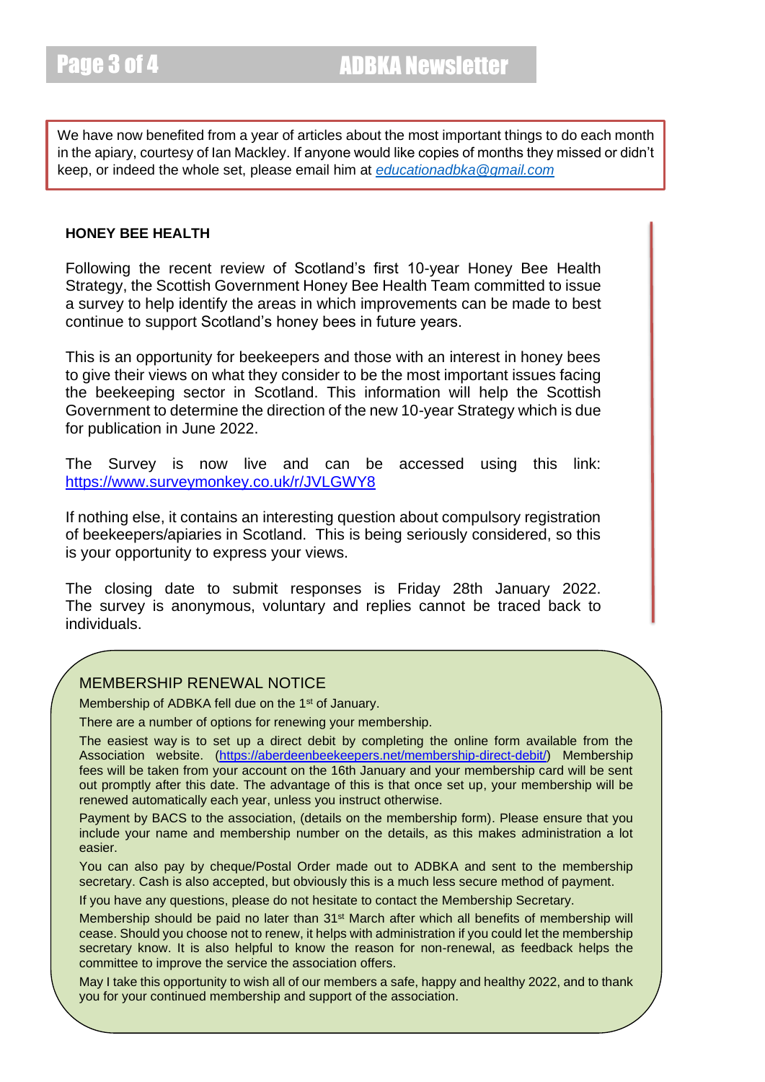We have now benefited from a year of articles about the most important things to do each month in the apiary, courtesy of Ian Mackley. If anyone would like copies of months they missed or didn't keep, or indeed the whole set, please email him at *[educationadbka@gmail.com](mailto:educationadbka@gmail.com)*

#### **HONEY BEE HEALTH**

Following the recent [review](https://www.gov.scot/publications/review-scotlands-first-10-year-honey-bee-health-strategy/) of Scotland's first 10-year [Honey Bee Health](https://www.gov.scot/publications/honey-bee-health-strategy/)  [Strategy,](https://www.gov.scot/publications/honey-bee-health-strategy/) the Scottish Government Honey Bee Health Team committed to issue a survey to help identify the areas in which improvements can be made to best continue to support Scotland's honey bees in future years.

This is an opportunity for beekeepers and those with an interest in honey bees to give their views on what they consider to be the most important issues facing the beekeeping sector in Scotland. This information will help the Scottish Government to determine the direction of the new 10-year Strategy which is due for publication in June 2022.

The Survey is now live and can be accessed using this link: <https://www.surveymonkey.co.uk/r/JVLGWY8>

If nothing else, it contains an interesting question about compulsory registration of beekeepers/apiaries in Scotland. This is being seriously considered, so this is your opportunity to express your views.

The closing date to submit responses is Friday 28th January 2022. The survey is anonymous, voluntary and replies cannot be traced back to individuals.

#### MEMBERSHIP RENEWAL NOTICE

Membership of ADBKA fell due on the 1<sup>st</sup> of January.

There are a number of options for renewing your membership.

The easiest way is to set up a direct debit by completing the online form available from the Association website. [\(https://aberdeenbeekeepers.net/membership-direct-debit/\)](https://aberdeenbeekeepers.net/membership-direct-debit/) Membership fees will be taken from your account on the 16th January and your membership card will be sent out promptly after this date. The advantage of this is that once set up, your membership will be renewed automatically each year, unless you instruct otherwise.

Payment by BACS to the association, (details on the membership form). Please ensure that you include your name and membership number on the details, as this makes administration a lot easier.

You can also pay by cheque/Postal Order made out to ADBKA and sent to the membership secretary. Cash is also accepted, but obviously this is a much less secure method of payment.

If you have any questions, please do not hesitate to contact the Membership Secretary.

Membership should be paid no later than 31st March after which all benefits of membership will cease. Should you choose not to renew, it helps with administration if you could let the membership secretary know. It is also helpful to know the reason for non-renewal, as feedback helps the committee to improve the service the association offers.

May I take this opportunity to wish all of our members a safe, happy and healthy 2022, and to thank you for your continued membership and support of the association.